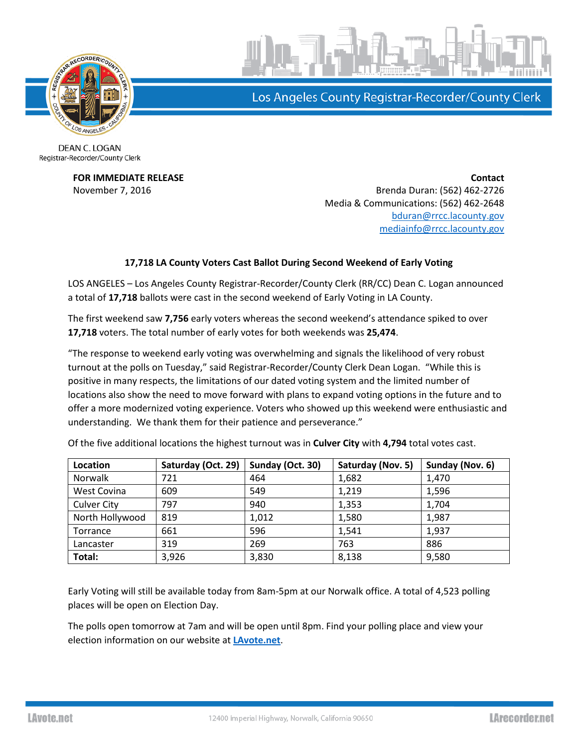

Los Angeles County Registrar-Recorder/County Clerk

DEAN C. LOGAN Registrar-Recorder/County Clerk

**FOR IMMEDIATE RELEASE Contact** November 7, 2016 **Brenda Duran: (562) 462-2726** Media & Communications: (562) 462-2648 [bduran@rrcc.lacounty.gov](mailto:bduran@rrcc.lacounty.gov) [mediainfo@rrcc.lacounty.gov](mailto:mediainfo@rrcc.lacounty.gov)

## **17,718 LA County Voters Cast Ballot During Second Weekend of Early Voting**

LOS ANGELES – Los Angeles County Registrar-Recorder/County Clerk (RR/CC) Dean C. Logan announced a total of **17,718** ballots were cast in the second weekend of Early Voting in LA County.

The first weekend saw **7,756** early voters whereas the second weekend's attendance spiked to over **17,718** voters. The total number of early votes for both weekends was **25,474**.

"The response to weekend early voting was overwhelming and signals the likelihood of very robust turnout at the polls on Tuesday," said Registrar-Recorder/County Clerk Dean Logan. "While this is positive in many respects, the limitations of our dated voting system and the limited number of locations also show the need to move forward with plans to expand voting options in the future and to offer a more modernized voting experience. Voters who showed up this weekend were enthusiastic and understanding. We thank them for their patience and perseverance."

| Location           | Saturday (Oct. 29) | Sunday (Oct. 30) | Saturday (Nov. 5) | Sunday (Nov. 6) |
|--------------------|--------------------|------------------|-------------------|-----------------|
| Norwalk            | 721                | 464              | 1,682             | 1,470           |
| West Covina        | 609                | 549              | 1,219             | 1,596           |
| <b>Culver City</b> | 797                | 940              | 1,353             | 1,704           |
| North Hollywood    | 819                | 1,012            | 1,580             | 1,987           |
| Torrance           | 661                | 596              | 1,541             | 1,937           |
| Lancaster          | 319                | 269              | 763               | 886             |
| Total:             | 3,926              | 3,830            | 8,138             | 9,580           |

Of the five additional locations the highest turnout was in **Culver City** with **4,794** total votes cast.

Early Voting will still be available today from 8am-5pm at our Norwalk office. A total of 4,523 polling places will be open on Election Day.

The polls open tomorrow at 7am and will be open until 8pm. Find your polling place and view your election information on our website at **[LAvote.net](http://www.lavote.net/home/voting-elections/current-elections/find-my-election-information)**.